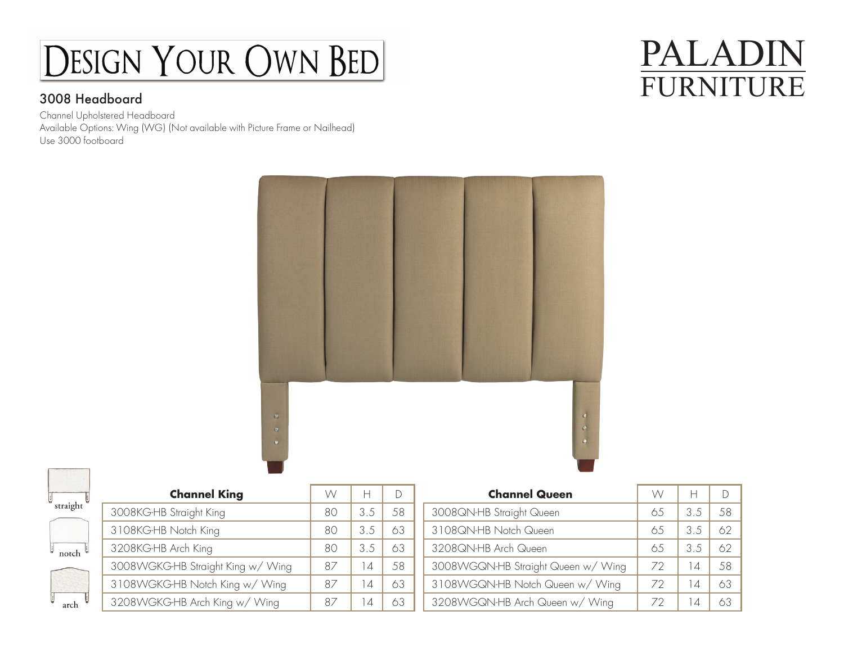## DESIGN YOUR OWN BED

### 3008 Headboard

Channel Upholstered Headboard Available Options: Wing (WG) (Not available with Picture Frame or Nailhead) Use 3000 footboard

### PALADIN FURNITURE



| straight |  |
|----------|--|
|          |  |
| notch    |  |

arch

| <b>Channel King</b>               | W  | н   |     |
|-----------------------------------|----|-----|-----|
| 3008KG-HB Straight King           | 80 | 3.5 | .58 |
| 3108KG-HB Notch King              | 80 | 3.5 | 63  |
| 3208KG-HB Arch King               | 80 | 3.5 | 63  |
| 3008WGKG-HB Straight King w/ Wing | 87 | 14  | .58 |
| 3108WGKG-HB Notch King w/ Wing    | 87 | 14  | 63  |
| 3208WGKG-HB Arch King w/ Wing     | 87 | 14  |     |

| <b>Channel Queen</b>               | W  | Н   |    |
|------------------------------------|----|-----|----|
| 3008QN-HB Straight Queen           | 65 | 3.5 | 58 |
| 3108QN-HB Notch Queen              | 65 | 3.5 | 62 |
| 3208QN-HB Arch Queen               | 65 | 3.5 | 62 |
| 3008WGQN-HB Straight Queen w/ Wing | 72 | 14  | 58 |
| 3108WGQN-HB Notch Queen w/ Wing    | 72 | 14  | 63 |
| 3208WGQN-HB Arch Queen w/ Wing     | 72 | 14  | 63 |